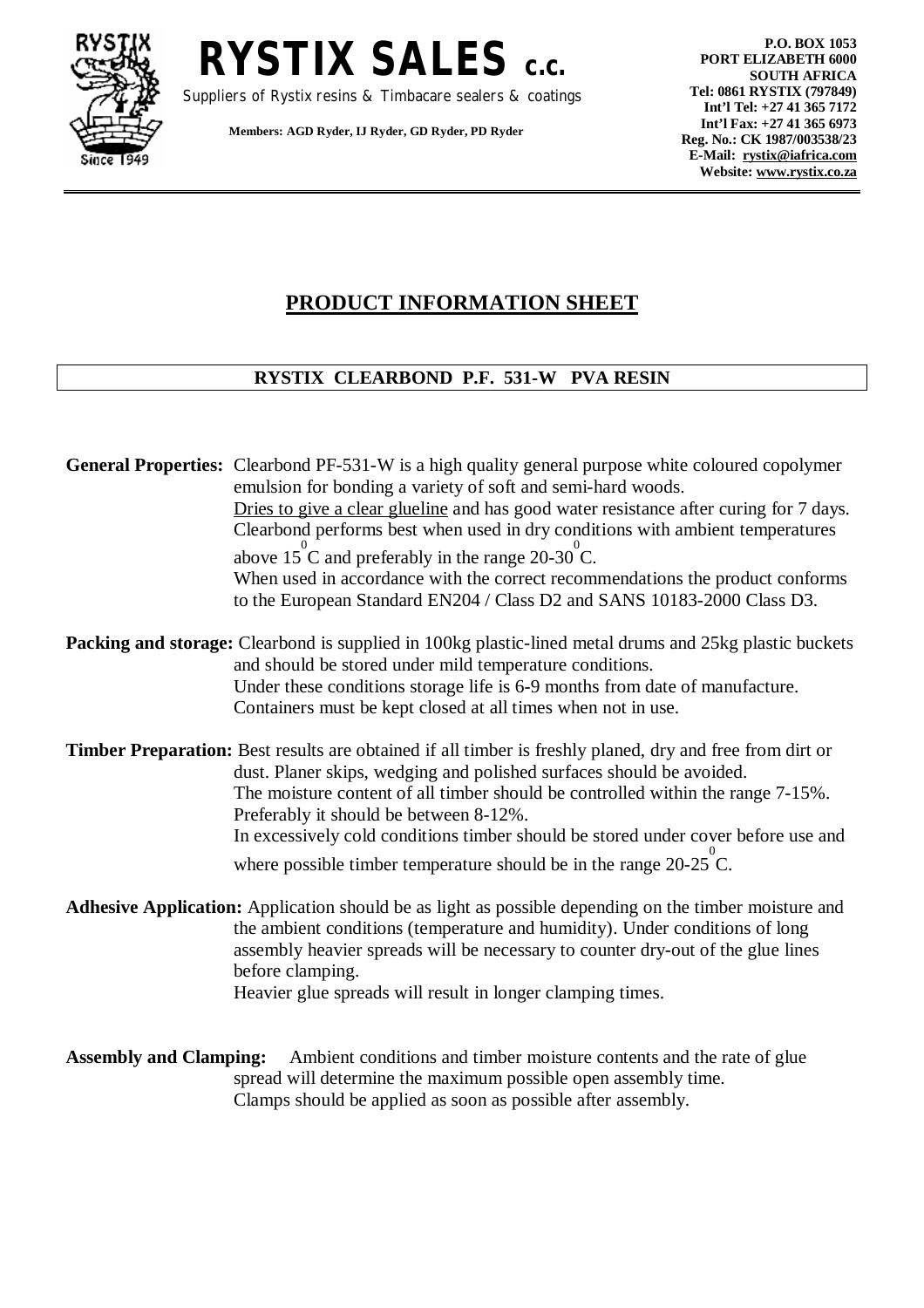



Suppliers of Rystix resins & Timbacare sealers & coatings

**Members: AGD Ryder, IJ Ryder, GD Ryder, PD Ryder** 

**P.O. BOX 1053 PORT ELIZABETH 6000 SOUTH AFRICA Tel: 0861 RYSTIX (797849) Int'l Tel: +27 41 365 7172 Int'l Fax: +27 41 365 6973 Reg. No.: CK 1987/003538/23 E-Mail: [rystix@iafrica.com](mailto:rystix@iafrica.com) Website: [www.rystix.co.za](http://www.rystix.co.za)**

## **PRODUCT INFORMATION SHEET**

## **RYSTIX CLEARBOND P.F. 531-W PVA RESIN**

| <b>General Properties:</b> Clearbond PF-531-W is a high quality general purpose white coloured copolymer<br>emulsion for bonding a variety of soft and semi-hard woods.                                                                                                                                              |  |
|----------------------------------------------------------------------------------------------------------------------------------------------------------------------------------------------------------------------------------------------------------------------------------------------------------------------|--|
| Dries to give a clear glueline and has good water resistance after curing for 7 days.<br>Clearbond performs best when used in dry conditions with ambient temperatures                                                                                                                                               |  |
| above $15^{\circ}$ C and preferably in the range 20-30 °C.                                                                                                                                                                                                                                                           |  |
| When used in accordance with the correct recommendations the product conforms<br>to the European Standard EN204 / Class D2 and SANS 10183-2000 Class D3.                                                                                                                                                             |  |
| <b>Packing and storage:</b> Clearbond is supplied in 100kg plastic-lined metal drums and 25kg plastic buckets<br>and should be stored under mild temperature conditions.                                                                                                                                             |  |
| Under these conditions storage life is 6-9 months from date of manufacture.<br>Containers must be kept closed at all times when not in use.                                                                                                                                                                          |  |
| <b>Timber Preparation:</b> Best results are obtained if all timber is freshly planed, dry and free from dirt or<br>dust. Planer skips, wedging and polished surfaces should be avoided.<br>The moisture content of all timber should be controlled within the range 7-15%.<br>Preferably it should be between 8-12%. |  |
| In excessively cold conditions timber should be stored under cover before use and<br>where possible timber temperature should be in the range $20-25^{\circ}$ C.                                                                                                                                                     |  |
| Adhesive Application: Application should be as light as possible depending on the timber moisture and<br>the ambient conditions (temperature and humidity). Under conditions of long                                                                                                                                 |  |
| assembly heavier spreads will be necessary to counter dry-out of the glue lines<br>before clamping.<br>Heavier glue spreads will result in longer clamping times.                                                                                                                                                    |  |
| Ambient conditions and timber moisture contents and the rate of glue<br><b>Assembly and Clamping:</b>                                                                                                                                                                                                                |  |
| spread will determine the maximum possible open assembly time.<br>Clamps should be applied as soon as possible after assembly.                                                                                                                                                                                       |  |
|                                                                                                                                                                                                                                                                                                                      |  |